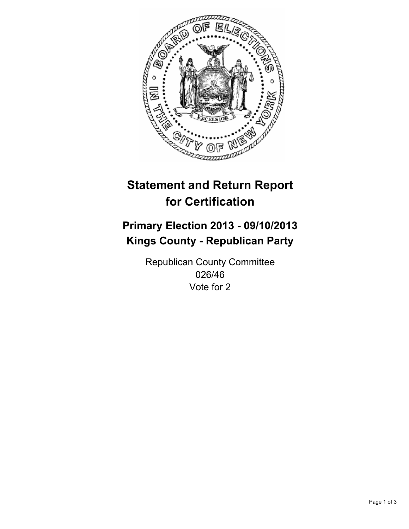

# **Statement and Return Report for Certification**

## **Primary Election 2013 - 09/10/2013 Kings County - Republican Party**

Republican County Committee 026/46 Vote for 2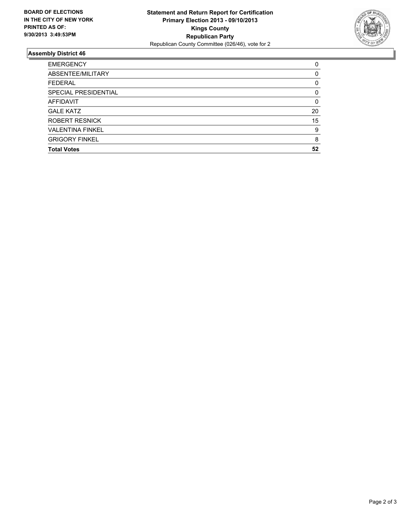

### **Assembly District 46**

| <b>EMERGENCY</b>        | 0        |
|-------------------------|----------|
| ABSENTEE/MILITARY       | $\Omega$ |
| <b>FEDERAL</b>          | 0        |
| SPECIAL PRESIDENTIAL    | 0        |
| AFFIDAVIT               | $\Omega$ |
| <b>GALE KATZ</b>        | 20       |
| <b>ROBERT RESNICK</b>   | 15       |
| <b>VALENTINA FINKEL</b> | 9        |
| <b>GRIGORY FINKEL</b>   | 8        |
| <b>Total Votes</b>      | 52       |